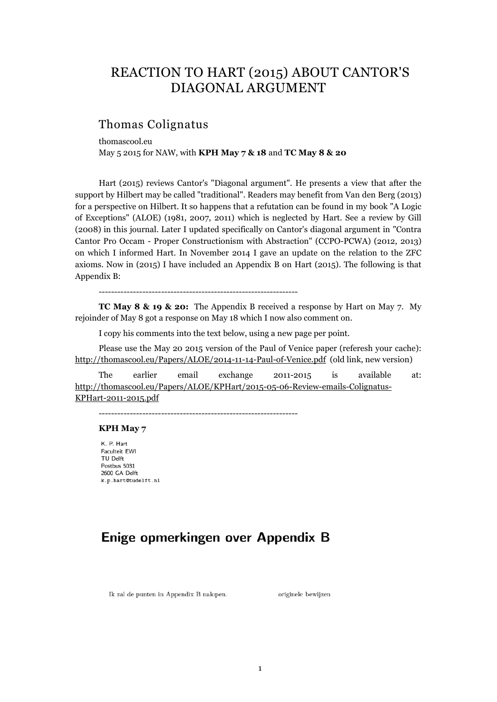# REACTION TO HART (2015) ABOUT CANTOR'S DIAGONAL ARGUMENT

# Thomas Colignatus

thomascool.eu May 5 2015 for NAW, with **KPH May 7 & 18** and **TC May 8 & 20**

Hart (2015) reviews Cantor's "Diagonal argument". He presents a view that after the support by Hilbert may be called "traditional". Readers may benefit from Van den Berg (2013) for a perspective on Hilbert. It so happens that a refutation can be found in my book "A Logic of Exceptions" (ALOE) (1981, 2007, 2011) which is neglected by Hart. See a review by Gill (2008) in this journal. Later I updated specifically on Cantor's diagonal argument in "Contra Cantor Pro Occam - Proper Constructionism with Abstraction" (CCPO-PCWA) (2012, 2013) on which I informed Hart. In November 2014 I gave an update on the relation to the ZFC axioms. Now in (2015) I have included an Appendix B on Hart (2015). The following is that Appendix B:

----------------------------------------------------------------

**TC May 8 & 19 & 20:** The Appendix B received a response by Hart on May 7. My rejoinder of May 8 got a response on May 18 which I now also comment on.

I copy his comments into the text below, using a new page per point.

Please use the May 20 2015 version of the Paul of Venice paper (referesh your cache): http://thomascool.eu/Papers/ALOE/2014-11-14-Paul-of-Venice.pdf (old link, new version)

The earlier email exchange 2011-2015 is available at: http://thomascool.eu/Papers/ALOE/KPHart/2015-05-06-Review-emails-Colignatus-KPHart-2011-2015.pdf

----------------------------------------------------------------

#### **KPH May 7**

K. P. Hart Faculteit EWI TU Delft Postbus 5031 2600 GA Delft k.p.hart@tudelft.nl

# Enige opmerkingen over Appendix B

Ik zal de punten in Appendix B nalopen.

originele bewijzen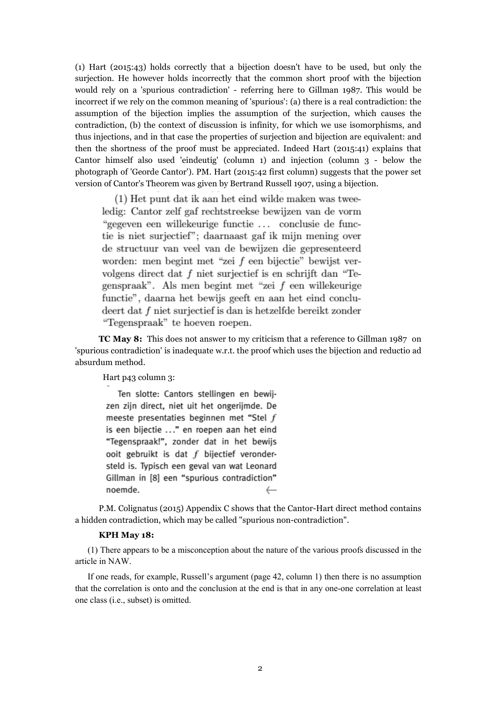(1) Hart (2015:43) holds correctly that a bijection doesn't have to be used, but only the surjection. He however holds incorrectly that the common short proof with the bijection would rely on a 'spurious contradiction' - referring here to Gillman 1987. This would be incorrect if we rely on the common meaning of 'spurious': (a) there is a real contradiction: the assumption of the bijection implies the assumption of the surjection, which causes the contradiction, (b) the context of discussion is infinity, for which we use isomorphisms, and thus injections, and in that case the properties of surjection and bijection are equivalent: and then the shortness of the proof must be appreciated. Indeed Hart (2015:41) explains that Cantor himself also used 'eindeutig' (column 1) and injection (column 3 - below the photograph of 'Georde Cantor'). PM. Hart (2015:42 first column) suggests that the power set version of Cantor's Theorem was given by Bertrand Russell 1907, using a bijection.

(1) Het punt dat ik aan het eind wilde maken was tweeledig: Cantor zelf gaf rechtstreekse bewijzen van de vorm "gegeven een willekeurige functie... conclusie de functie is niet surjectief"; daarnaast gaf ik mijn mening over de structuur van veel van de bewijzen die gepresenteerd worden: men begint met "zei f een bijectie" bewijst vervolgens direct dat f niet surjectief is en schrijft dan "Tegenspraak". Als men begint met "zei f een willekeurige functie", daarna het bewijs geeft en aan het eind concludeert dat  $f$  niet surjectief is dan is hetzelfde bereikt zonder "Tegenspraak" te hoeven roepen.

**TC May 8:** This does not answer to my criticism that a reference to Gillman 1987 on 'spurious contradiction' is inadequate w.r.t. the proof which uses the bijection and reductio ad absurdum method.

Hart p43 column 3:

Ten slotte: Cantors stellingen en bewijzen zijn direct, niet uit het ongerijmde. De meeste presentaties beginnen met "Stel  $f$ is een bijectie ..." en roepen aan het eind "Tegenspraak!", zonder dat in het bewijs ooit gebruikt is dat  $f$  bijectief verondersteld is. Typisch een geval van wat Leonard Gillman in [8] een "spurious contradiction" noemde. €……

P.M. Colignatus (2015) Appendix C shows that the Cantor-Hart direct method contains a hidden contradiction, which may be called "spurious non-contradiction".

#### **KPH May 18:**

(1) There appears to be a misconception about the nature of the various proofs discussed in the article in NAW.

If one reads, for example, Russell's argument (page 42, column 1) then there is no assumption that the correlation is onto and the conclusion at the end is that in any one-one correlation at least one class (i.e., subset) is omitted.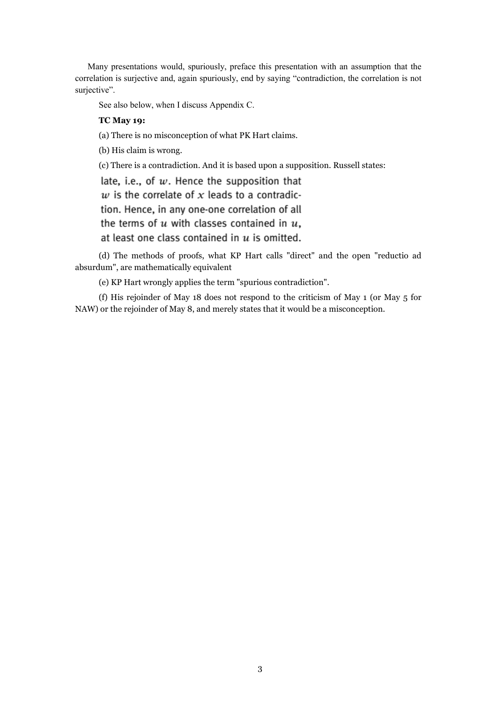Many presentations would, spuriously, preface this presentation with an assumption that the correlation is surjective and, again spuriously, end by saying "contradiction, the correlation is not surjective".

See also below, when I discuss Appendix C.

# **TC May 19:**

(a) There is no misconception of what PK Hart claims.

(b) His claim is wrong.

(c) There is a contradiction. And it is based upon a supposition. Russell states:

late, i.e., of  $w$ . Hence the supposition that  $w$  is the correlate of  $x$  leads to a contradiction. Hence, in any one-one correlation of all the terms of  $u$  with classes contained in  $u$ , at least one class contained in  $u$  is omitted.

(d) The methods of proofs, what KP Hart calls "direct" and the open "reductio ad absurdum", are mathematically equivalent

(e) KP Hart wrongly applies the term "spurious contradiction".

(f) His rejoinder of May 18 does not respond to the criticism of May 1 (or May 5 for NAW) or the rejoinder of May 8, and merely states that it would be a misconception.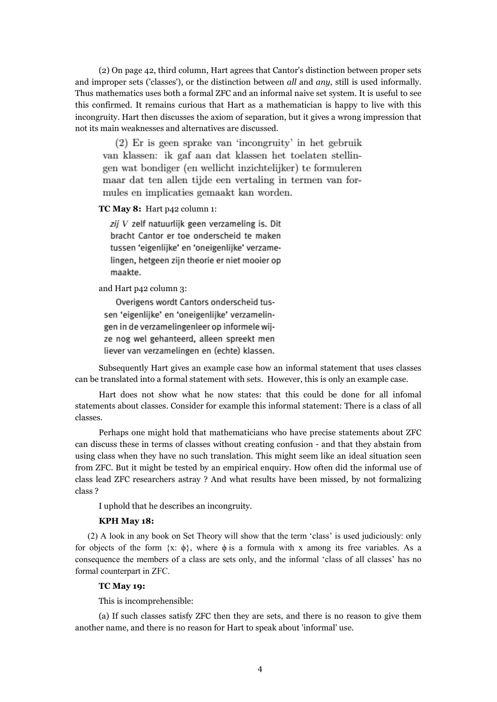(2) On page 42, third column, Hart agrees that Cantor's distinction between proper sets and improper sets ('classes'), or the distinction between *all* and *any*, still is used informally. Thus mathematics uses both a formal ZFC and an informal naive set system. It is useful to see this confirmed. It remains curious that Hart as a mathematician is happy to live with this incongruity. Hart then discusses the axiom of separation, but it gives a wrong impression that not its main weaknesses and alternatives are discussed.

(2) Er is geen sprake van 'incongruity' in het gebruik van klassen: ik gaf aan dat klassen het toelaten stellingen wat bondiger (en wellicht inzichtelijker) te formuleren maar dat ten allen tijde een vertaling in termen van formules en implicaties gemaakt kan worden.

# **TC May 8:** Hart p42 column 1:

zij V zelf natuurlijk geen verzameling is. Dit bracht Cantor er toe onderscheid te maken tussen 'eigenlijke' en 'oneigenlijke' verzamelingen, hetgeen zijn theorie er niet mooier op maakte.

and Hart p42 column 3:

Overigens wordt Cantors onderscheid tussen 'eigenlijke' en 'oneigenlijke' verzamelingen in de verzamelingenleer op informele wijze nog wel gehanteerd, alleen spreekt men liever van verzamelingen en (echte) klassen.

Subsequently Hart gives an example case how an informal statement that uses classes can be translated into a formal statement with sets. However, this is only an example case.

Hart does not show what he now states: that this could be done for all infomal statements about classes. Consider for example this informal statement: There is a class of all classes.

Perhaps one might hold that mathematicians who have precise statements about ZFC can discuss these in terms of classes without creating confusion - and that they abstain from using class when they have no such translation. This might seem like an ideal situation seen from ZFC. But it might be tested by an empirical enquiry. How often did the informal use of class lead ZFC researchers astray ? And what results have been missed, by not formalizing class ?

I uphold that he describes an incongruity.

#### **KPH May 18:**

(2) A look in any book on Set Theory will show that the term 'class' is used judiciously: only for objects of the form  $\{x: \phi\}$ , where  $\phi$  is a formula with x among its free variables. As a consequence the members of a class are sets only, and the informal 'class of all classes' has no formal counterpart in ZFC.

# **TC May 19:**

This is incomprehensible:

(a) If such classes satisfy ZFC then they are sets, and there is no reason to give them another name, and there is no reason for Hart to speak about 'informal' use.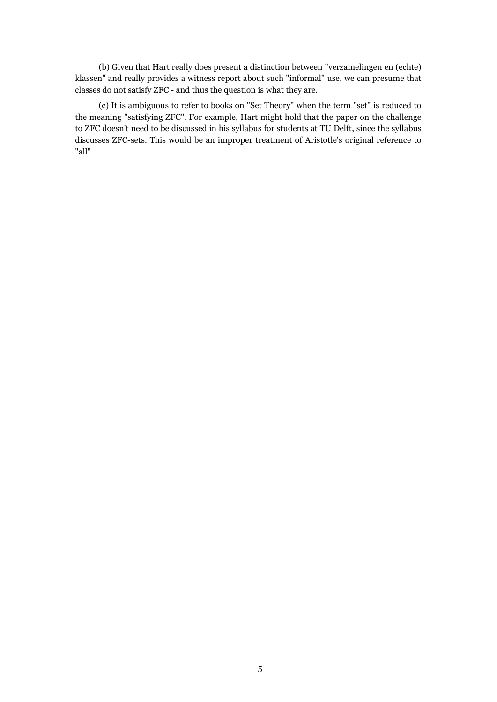(b) Given that Hart really does present a distinction between "verzamelingen en (echte) klassen" and really provides a witness report about such "informal" use, we can presume that classes do not satisfy ZFC - and thus the question is what they are.

(c) It is ambiguous to refer to books on "Set Theory" when the term "set" is reduced to the meaning "satisfying ZFC". For example, Hart might hold that the paper on the challenge to ZFC doesn't need to be discussed in his syllabus for students at TU Delft, since the syllabus discusses ZFC-sets. This would be an improper treatment of Aristotle's original reference to "all".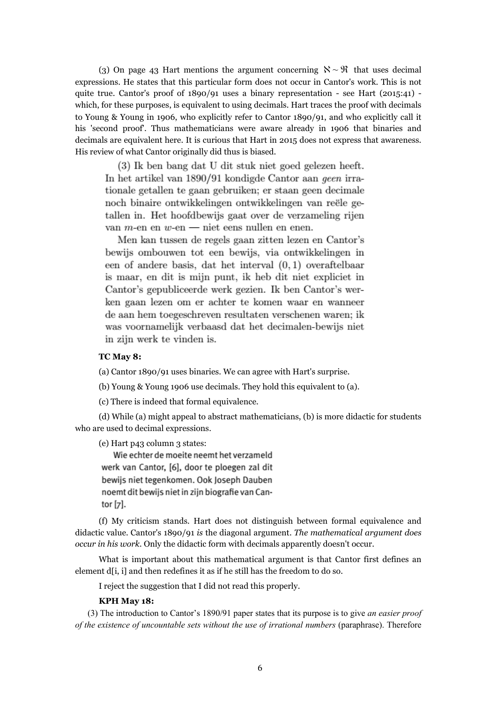(3) On page 43 Hart mentions the argument concerning  $\aleph \sim \mathfrak{R}$  that uses decimal expressions. He states that this particular form does not occur in Cantor's work. This is not quite true. Cantor's proof of  $1890/91$  uses a binary representation - see Hart (2015:41) which, for these purposes, is equivalent to using decimals. Hart traces the proof with decimals to Young & Young in 1906, who explicitly refer to Cantor 1890/91, and who explicitly call it his 'second proof'. Thus mathematicians were aware already in 1906 that binaries and decimals are equivalent here. It is curious that Hart in 2015 does not express that awareness. His review of what Cantor originally did thus is biased.

(3) Ik ben bang dat U dit stuk niet goed gelezen heeft. In het artikel van 1890/91 kondigde Cantor aan geen irrationale getallen te gaan gebruiken; er staan geen decimale noch binaire ontwikkelingen ontwikkelingen van reële getallen in. Het hoofdbewijs gaat over de verzameling rijen van  $m$ -en en  $w$ -en  $-$  niet eens nullen en enen.

Men kan tussen de regels gaan zitten lezen en Cantor's bewijs ombouwen tot een bewijs, via ontwikkelingen in een of andere basis, dat het interval  $(0,1)$  overaftelbaar is maar, en dit is mijn punt, ik heb dit niet expliciet in Cantor's gepubliceerde werk gezien. Ik ben Cantor's werken gaan lezen om er achter te komen waar en wanneer de aan hem toegeschreven resultaten verschenen waren; ik was voornamelijk verbaasd dat het decimalen-bewijs niet in zijn werk te vinden is.

#### **TC May 8:**

(a) Cantor 1890/91 uses binaries. We can agree with Hart's surprise.

(b) Young & Young 1906 use decimals. They hold this equivalent to (a).

(c) There is indeed that formal equivalence.

(d) While (a) might appeal to abstract mathematicians, (b) is more didactic for students who are used to decimal expressions.

(e) Hart p43 column 3 states:

Wie echter de moeite neemt het verzameld werk van Cantor, [6], door te ploegen zal dit bewijs niet tegenkomen. Ook Joseph Dauben noemt dit bewijs niet in zijn biografie van Cantor [7].

(f) My criticism stands. Hart does not distinguish between formal equivalence and didactic value. Cantor's 1890/91 *is* the diagonal argument. *The mathematical argument does occur in his work.* Only the didactic form with decimals apparently doesn't occur.

What is important about this mathematical argument is that Cantor first defines an element d[i, i] and then redefines it as if he still has the freedom to do so.

I reject the suggestion that I did not read this properly.

#### **KPH May 18:**

(3) The introduction to Cantor's 1890/91 paper states that its purpose is to give *an easier proof of the existence of uncountable sets without the use of irrational numbers* (paraphrase). Therefore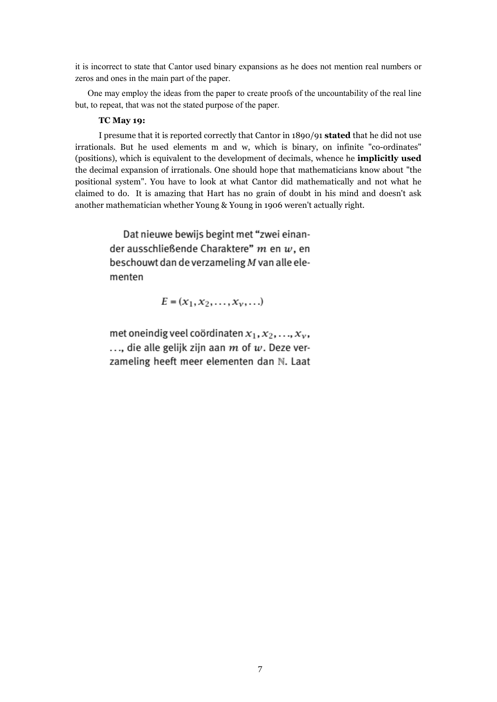it is incorrect to state that Cantor used binary expansions as he does not mention real numbers or zeros and ones in the main part of the paper.

One may employ the ideas from the paper to create proofs of the uncountability of the real line but, to repeat, that was not the stated purpose of the paper.

# **TC May 19:**

I presume that it is reported correctly that Cantor in 1890/91 **stated** that he did not use irrationals. But he used elements m and w, which is binary, on infinite "co-ordinates" (positions), which is equivalent to the development of decimals, whence he **implicitly used** the decimal expansion of irrationals. One should hope that mathematicians know about "the positional system". You have to look at what Cantor did mathematically and not what he claimed to do. It is amazing that Hart has no grain of doubt in his mind and doesn't ask another mathematician whether Young & Young in 1906 weren't actually right.

> Dat nieuwe bewijs begint met "zwei einander ausschließende Charaktere"  $m$  en  $w$ , en beschouwt dan de verzameling  $M$  van alle elementen

> > $E = (x_1, x_2, \ldots, x_v, \ldots)$

met oneindig veel coördinaten  $x_1, x_2, ..., x_v$ ..., die alle gelijk zijn aan  $m$  of  $w$ . Deze verzameling heeft meer elementen dan N. Laat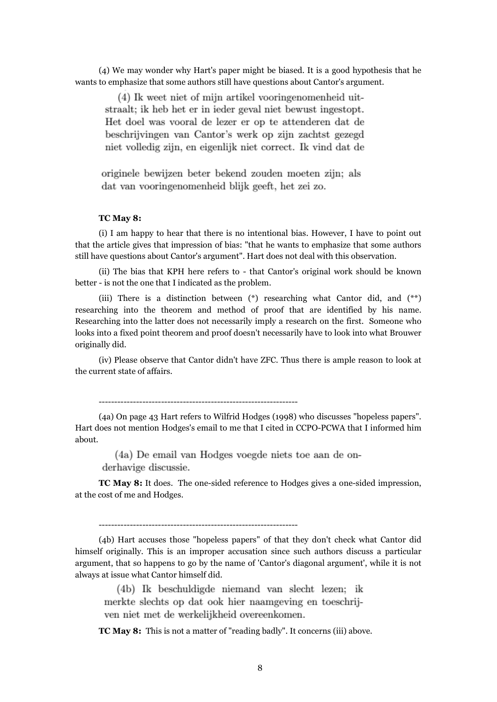(4) We may wonder why Hart's paper might be biased. It is a good hypothesis that he wants to emphasize that some authors still have questions about Cantor's argument.

(4) Ik weet niet of mijn artikel vooringenomenheid uitstraalt; ik heb het er in ieder geval niet bewust ingestopt. Het doel was vooral de lezer er op te attenderen dat de beschrijvingen van Cantor's werk op zijn zachtst gezegd niet volledig zijn, en eigenlijk niet correct. Ik vind dat de

originele bewijzen beter bekend zouden moeten zijn; als dat van vooringenomenheid blijk geeft, het zei zo.

### **TC May 8:**

(i) I am happy to hear that there is no intentional bias. However, I have to point out that the article gives that impression of bias: "that he wants to emphasize that some authors still have questions about Cantor's argument". Hart does not deal with this observation.

(ii) The bias that KPH here refers to - that Cantor's original work should be known better - is not the one that I indicated as the problem.

(iii) There is a distinction between (\*) researching what Cantor did, and (\*\*) researching into the theorem and method of proof that are identified by his name. Researching into the latter does not necessarily imply a research on the first. Someone who looks into a fixed point theorem and proof doesn't necessarily have to look into what Brouwer originally did.

(iv) Please observe that Cantor didn't have ZFC. Thus there is ample reason to look at the current state of affairs.

----------------------------------------------------------------

(4a) On page 43 Hart refers to Wilfrid Hodges (1998) who discusses "hopeless papers". Hart does not mention Hodges's email to me that I cited in CCPO-PCWA that I informed him about.

(4a) De email van Hodges voegde niets toe aan de on-

derhavige discussie.

**TC May 8:** It does. The one-sided reference to Hodges gives a one-sided impression, at the cost of me and Hodges.

----------------------------------------------------------------

(4b) Hart accuses those "hopeless papers" of that they don't check what Cantor did himself originally. This is an improper accusation since such authors discuss a particular argument, that so happens to go by the name of 'Cantor's diagonal argument', while it is not always at issue what Cantor himself did.

(4b) Ik beschuldigde niemand van slecht lezen: ik merkte slechts op dat ook hier naamgeving en toeschrijven niet met de werkelijkheid overeenkomen.

**TC May 8:** This is not a matter of "reading badly". It concerns (iii) above.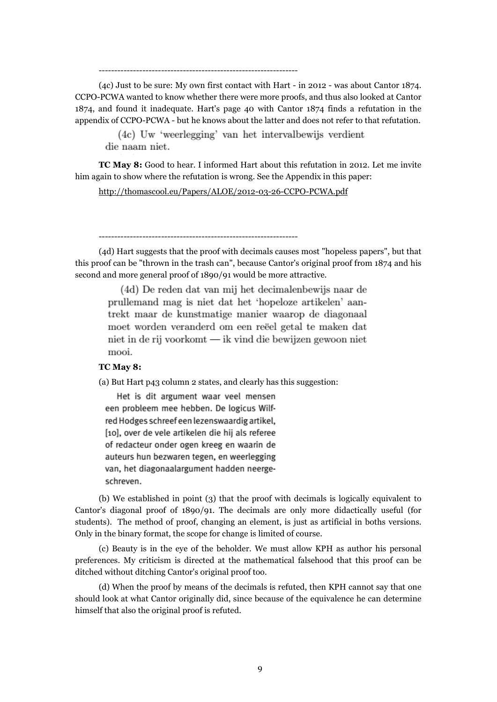(4c) Just to be sure: My own first contact with Hart - in 2012 - was about Cantor 1874. CCPO-PCWA wanted to know whether there were more proofs, and thus also looked at Cantor 1874, and found it inadequate. Hart's page 40 with Cantor 1874 finds a refutation in the appendix of CCPO-PCWA - but he knows about the latter and does not refer to that refutation.

(4c) Uw 'weerlegging' van het intervalbewijs verdient die naam niet.

**TC May 8:** Good to hear. I informed Hart about this refutation in 2012. Let me invite him again to show where the refutation is wrong. See the Appendix in this paper:

http://thomascool.eu/Papers/ALOE/2012-03-26-CCPO-PCWA.pdf

----------------------------------------------------------------

----------------------------------------------------------------

(4d) Hart suggests that the proof with decimals causes most "hopeless papers", but that this proof can be "thrown in the trash can", because Cantor's original proof from 1874 and his second and more general proof of 1890/91 would be more attractive.

(4d) De reden dat van mij het decimalenbewijs naar de prullemand mag is niet dat het 'hopeloze artikelen' aantrekt maar de kunstmatige manier waarop de diagonaal moet worden veranderd om een reëel getal te maken dat niet in de rij voorkomt — ik vind die bewijzen gewoon niet mooi.

# **TC May 8:**

(a) But Hart p43 column 2 states, and clearly has this suggestion:

Het is dit argument waar veel mensen een probleem mee hebben. De logicus Wilfred Hodges schreef een lezenswaardig artikel, [10], over de vele artikelen die hij als referee of redacteur onder ogen kreeg en waarin de auteurs hun bezwaren tegen, en weerlegging van, het diagonaalargument hadden neergeschreven.

(b) We established in point (3) that the proof with decimals is logically equivalent to Cantor's diagonal proof of 1890/91. The decimals are only more didactically useful (for students). The method of proof, changing an element, is just as artificial in boths versions. Only in the binary format, the scope for change is limited of course.

(c) Beauty is in the eye of the beholder. We must allow KPH as author his personal preferences. My criticism is directed at the mathematical falsehood that this proof can be ditched without ditching Cantor's original proof too.

(d) When the proof by means of the decimals is refuted, then KPH cannot say that one should look at what Cantor originally did, since because of the equivalence he can determine himself that also the original proof is refuted.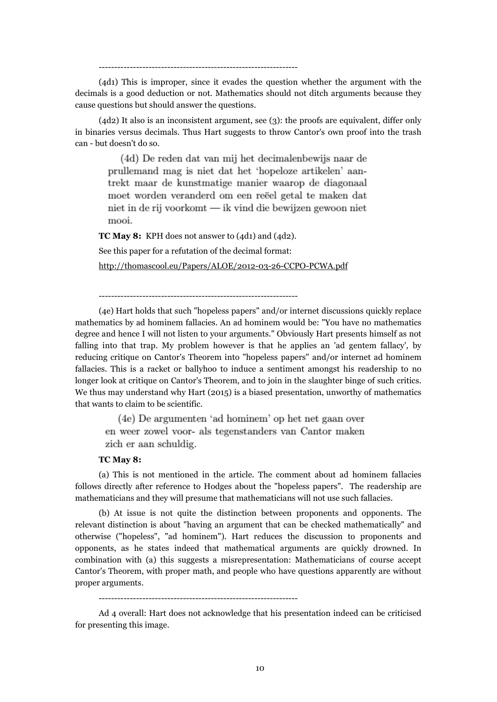----------------------------------------------------------------

(4d1) This is improper, since it evades the question whether the argument with the decimals is a good deduction or not. Mathematics should not ditch arguments because they cause questions but should answer the questions.

(4d2) It also is an inconsistent argument, see (3): the proofs are equivalent, differ only in binaries versus decimals. Thus Hart suggests to throw Cantor's own proof into the trash can - but doesn't do so.

(4d) De reden dat van mij het decimalenbewijs naar de prullemand mag is niet dat het 'hopeloze artikelen' aantrekt maar de kunstmatige manier waarop de diagonaal moet worden veranderd om een reëel getal te maken dat niet in de rij voorkomt — ik vind die bewijzen gewoon niet mooi.

**TC May 8:** KPH does not answer to (4d1) and (4d2).

See this paper for a refutation of the decimal format:

http://thomascool.eu/Papers/ALOE/2012-03-26-CCPO-PCWA.pdf

----------------------------------------------------------------

(4e) Hart holds that such "hopeless papers" and/or internet discussions quickly replace mathematics by ad hominem fallacies. An ad hominem would be: "You have no mathematics degree and hence I will not listen to your arguments." Obviously Hart presents himself as not falling into that trap. My problem however is that he applies an 'ad gentem fallacy', by reducing critique on Cantor's Theorem into "hopeless papers" and/or internet ad hominem fallacies. This is a racket or ballyhoo to induce a sentiment amongst his readership to no longer look at critique on Cantor's Theorem, and to join in the slaughter binge of such critics. We thus may understand why Hart (2015) is a biased presentation, unworthy of mathematics that wants to claim to be scientific.

(4e) De argumenten 'ad hominem' op het net gaan over en weer zowel voor- als tegenstanders van Cantor maken zich er aan schuldig.

# **TC May 8:**

(a) This is not mentioned in the article. The comment about ad hominem fallacies follows directly after reference to Hodges about the "hopeless papers". The readership are mathematicians and they will presume that mathematicians will not use such fallacies.

(b) At issue is not quite the distinction between proponents and opponents. The relevant distinction is about "having an argument that can be checked mathematically" and otherwise ("hopeless", "ad hominem"). Hart reduces the discussion to proponents and opponents, as he states indeed that mathematical arguments are quickly drowned. In combination with (a) this suggests a misrepresentation: Mathematicians of course accept Cantor's Theorem, with proper math, and people who have questions apparently are without proper arguments.

----------------------------------------------------------------

Ad 4 overall: Hart does not acknowledge that his presentation indeed can be criticised for presenting this image.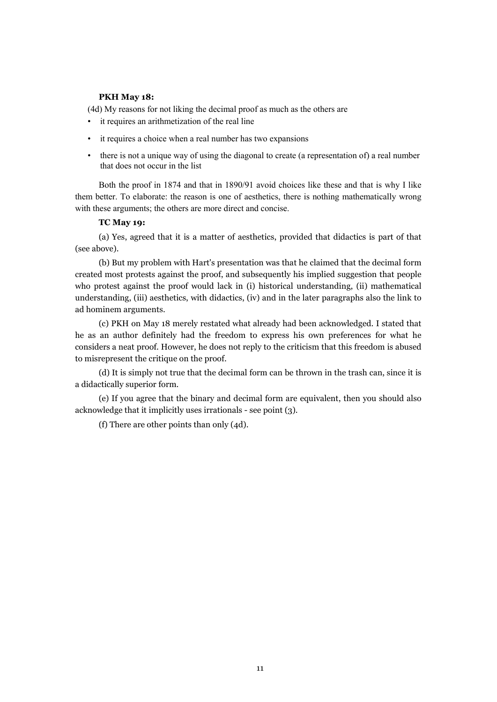# **PKH May 18:**

(4d) My reasons for not liking the decimal proof as much as the others are

- it requires an arithmetization of the real line
- it requires a choice when a real number has two expansions
- there is not a unique way of using the diagonal to create (a representation of) a real number that does not occur in the list

Both the proof in 1874 and that in 1890/91 avoid choices like these and that is why I like them better. To elaborate: the reason is one of aesthetics, there is nothing mathematically wrong with these arguments; the others are more direct and concise.

# **TC May 19:**

(a) Yes, agreed that it is a matter of aesthetics, provided that didactics is part of that (see above).

(b) But my problem with Hart's presentation was that he claimed that the decimal form created most protests against the proof, and subsequently his implied suggestion that people who protest against the proof would lack in (i) historical understanding, (ii) mathematical understanding, (iii) aesthetics, with didactics, (iv) and in the later paragraphs also the link to ad hominem arguments.

(c) PKH on May 18 merely restated what already had been acknowledged. I stated that he as an author definitely had the freedom to express his own preferences for what he considers a neat proof. However, he does not reply to the criticism that this freedom is abused to misrepresent the critique on the proof.

(d) It is simply not true that the decimal form can be thrown in the trash can, since it is a didactically superior form.

(e) If you agree that the binary and decimal form are equivalent, then you should also acknowledge that it implicitly uses irrationals - see point (3).

(f) There are other points than only (4d).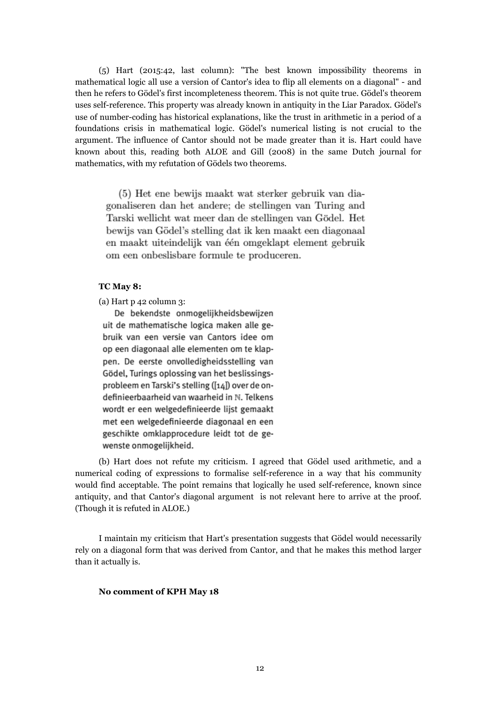(5) Hart (2015:42, last column): "The best known impossibility theorems in mathematical logic all use a version of Cantor's idea to flip all elements on a diagonal" - and then he refers to Gödel's first incompleteness theorem. This is not quite true. Gödel's theorem uses self-reference. This property was already known in antiquity in the Liar Paradox. Gödel's use of number-coding has historical explanations, like the trust in arithmetic in a period of a foundations crisis in mathematical logic. Gödel's numerical listing is not crucial to the argument. The influence of Cantor should not be made greater than it is. Hart could have known about this, reading both ALOE and Gill (2008) in the same Dutch journal for mathematics, with my refutation of Gödels two theorems.

(5) Het ene bewijs maakt wat sterker gebruik van diagonaliseren dan het andere; de stellingen van Turing and Tarski wellicht wat meer dan de stellingen van Gödel. Het bewijs van Gödel's stelling dat ik ken maakt een diagonaal en maakt uiteindelijk van één omgeklapt element gebruik om een onbeslisbare formule te produceren.

# **TC May 8:**

(a) Hart p 42 column 3:

De bekendste onmogelijkheidsbewijzen uit de mathematische logica maken alle gebruik van een versie van Cantors idee om op een diagonaal alle elementen om te klappen. De eerste onvolledigheidsstelling van Gödel, Turings oplossing van het beslissingsprobleem en Tarski's stelling ([14]) over de ondefinieerbaarheid van waarheid in N. Telkens wordt er een welgedefinieerde lijst gemaakt met een welgedefinieerde diagonaal en een geschikte omklapprocedure leidt tot de gewenste onmogelijkheid.

(b) Hart does not refute my criticism. I agreed that Gödel used arithmetic, and a numerical coding of expressions to formalise self-reference in a way that his community would find acceptable. The point remains that logically he used self-reference, known since antiquity, and that Cantor's diagonal argument is not relevant here to arrive at the proof. (Though it is refuted in ALOE.)

I maintain my criticism that Hart's presentation suggests that Gödel would necessarily rely on a diagonal form that was derived from Cantor, and that he makes this method larger than it actually is.

#### **No comment of KPH May 18**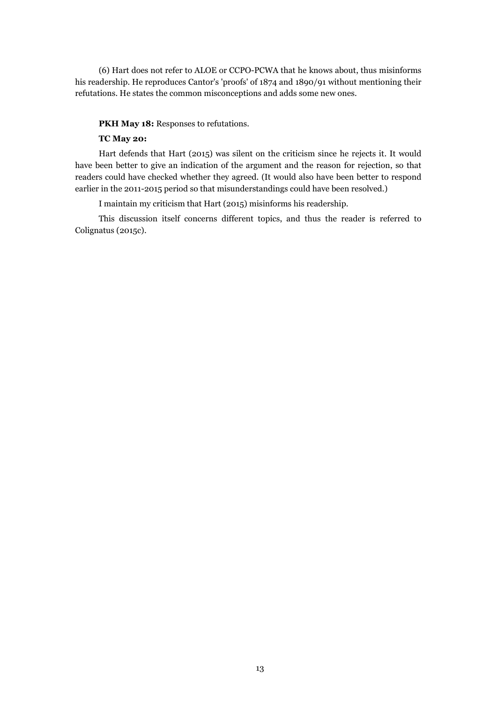(6) Hart does not refer to ALOE or CCPO-PCWA that he knows about, thus misinforms his readership. He reproduces Cantor's 'proofs' of 1874 and 1890/91 without mentioning their refutations. He states the common misconceptions and adds some new ones.

### **PKH May 18:** Responses to refutations.

# **TC May 20:**

Hart defends that Hart (2015) was silent on the criticism since he rejects it. It would have been better to give an indication of the argument and the reason for rejection, so that readers could have checked whether they agreed. (It would also have been better to respond earlier in the 2011-2015 period so that misunderstandings could have been resolved.)

I maintain my criticism that Hart (2015) misinforms his readership.

This discussion itself concerns different topics, and thus the reader is referred to Colignatus (2015c).